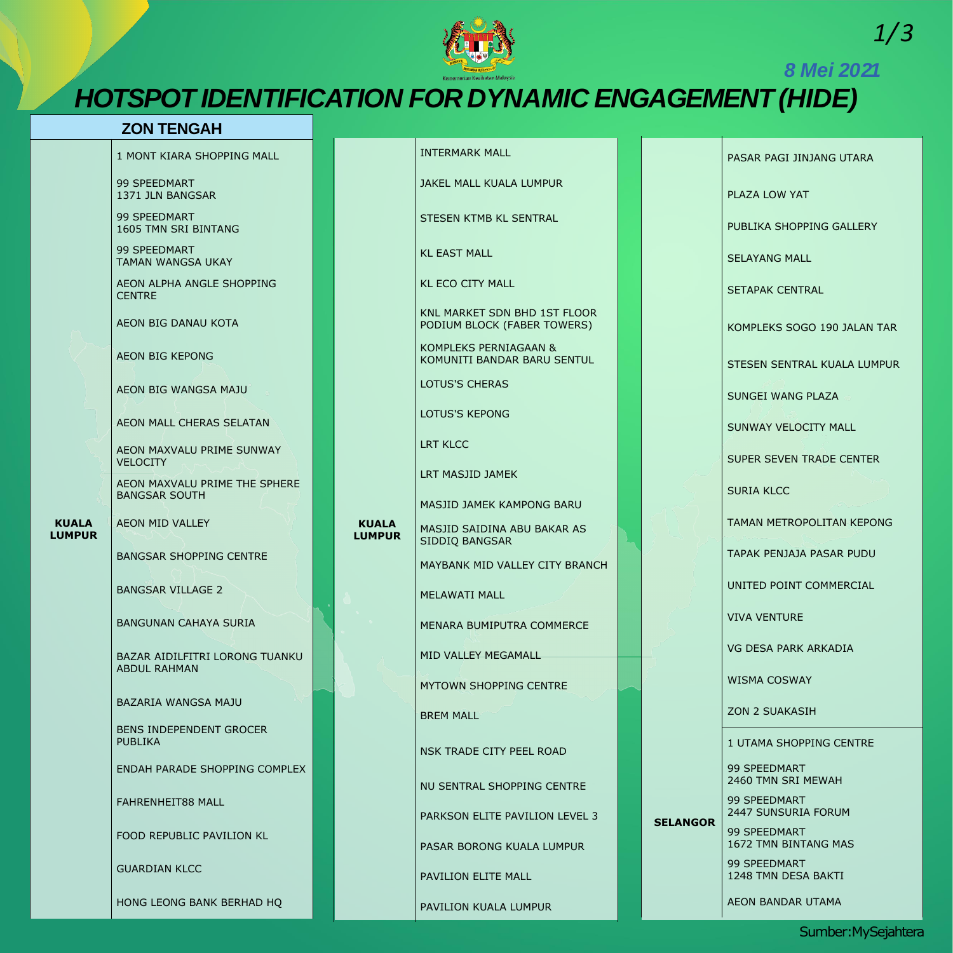### **ZON TENGAH**

**KUALA LUMPUR** 1 MONT KIARA SHOPPING MALL

99 SPEEDMART 1371 JLN BANGSAR

99 SPEEDMART 1605 TMN SRI BINTANG

AEON MAXVALU PRIME SUNWAY **VELOCITY** 

99 SPEEDMART TAMAN WANGSA UKAY

AEON ALPHA ANGLE SHOPPING CENTRE

AEON BIG DANAU KOTA

AEON BIG KEPONG

AEON BIG WANGSA MAJU

AEON MALL CHERAS SELATAN

AEON MAXVALU PRIME THE SPHERE BANGSAR SOUTH

AEON MID VALLEY

BANGSAR SHOPPING CENTRE

BANGSAR VILLAGE 2

BANGUNAN CAHAYA SURIA

BAZAR AIDILFITRI LORONG TUANKU ABDUL RAHMAN

BAZARIA WANGSA MAJU

BENS INDEPENDENT GROCER PUBLIKA

ENDAH PARADE SHOPPING COMPLEX

FAHRENHEIT88 MALL

FOOD REPUBLIC PAVILION KL

GUARDIAN KLCC

HONG LEONG BANK BERHAD HQ

*1/3*

Sumber:MySejahtera



*8 Mei 2021*

# *HOTSPOT IDENTIFICATION FOR DYNAMIC ENGAGEMENT (HIDE)*

**KUALA LUMPUR**

| <b>INTERMARK MALL</b>                                              |  | <b>PASAR</b>   |
|--------------------------------------------------------------------|--|----------------|
| <b>JAKEL MALL KUALA LUMPUR</b>                                     |  | <b>PLAZA</b>   |
| STESEN KTMB KL SENTRAL                                             |  | <b>PUBLIK</b>  |
| <b>KL EAST MALL</b>                                                |  | <b>SELAYA</b>  |
| <b>KL ECO CITY MALL</b>                                            |  | <b>SETAPA</b>  |
| <b>KNL MARKET SDN BHD 1ST FLOOR</b><br>PODIUM BLOCK (FABER TOWERS) |  | <b>KOMPLI</b>  |
| <b>KOMPLEKS PERNIAGAAN &amp;</b><br>KOMUNITI BANDAR BARU SENTUL    |  | <b>STESEN</b>  |
| <b>LOTUS'S CHERAS</b>                                              |  | <b>SUNGE</b>   |
| <b>LOTUS'S KEPONG</b>                                              |  | <b>SUNWA</b>   |
| <b>LRT KLCC</b>                                                    |  | <b>SUPER</b>   |
| LRT MASJID JAMEK                                                   |  | <b>SURIA</b>   |
| <b>MASJID JAMEK KAMPONG BARU</b>                                   |  |                |
| MASJID SAIDINA ABU BAKAR AS<br>SIDDIQ BANGSAR                      |  | <b>TAMAN</b>   |
| MAYBANK MID VALLEY CITY BRANCH                                     |  | <b>TAPAK</b>   |
| <b>MELAWATI MALL</b>                                               |  | <b>UNITED</b>  |
| <b>MENARA BUMIPUTRA COMMERCE</b>                                   |  | <b>VIVA VI</b> |

PAGI JINJANG UTARA LOW YAT A SHOPPING GALLERY **NG MALL K CENTRAL** EKS SOGO 190 JALAN TAR SENTRAL KUALA LUMPUR WANG PLAZA Y VELOCITY MALL **SEVEN TRADE CENTER KLCC** METROPOLITAN KEPONG PENJAJA PASAR PUDU POINT COMMERCIAL **ENTURE** 

MID VALLEY MEGAMALL

MYTOWN SHOPPING CENTRE

BREM MALL

NSK TRADE CITY PEEL ROAD

NU SENTRAL SHOPPING CENTRE

PARKSON ELITE PAVILION LEVEL 3

PASAR BORONG KUALA LUMPUR

PAVILION ELITE MALL

PAVILION KUALA LUMPUR

VG DESA PARK ARKADIA

WISMA COSWAY

ZON 2 SUAKASIH

**SELANGOR**

1 UTAMA SHOPPING CENTRE

99 SPEEDMART 2460 TMN SRI MEWAH

99 SPEEDMART 2447 SUNSURIA FORUM

99 SPEEDMART 1672 TMN BINTANG MAS

99 SPEEDMART 1248 TMN DESA BAKTI

AEON BANDAR UTAMA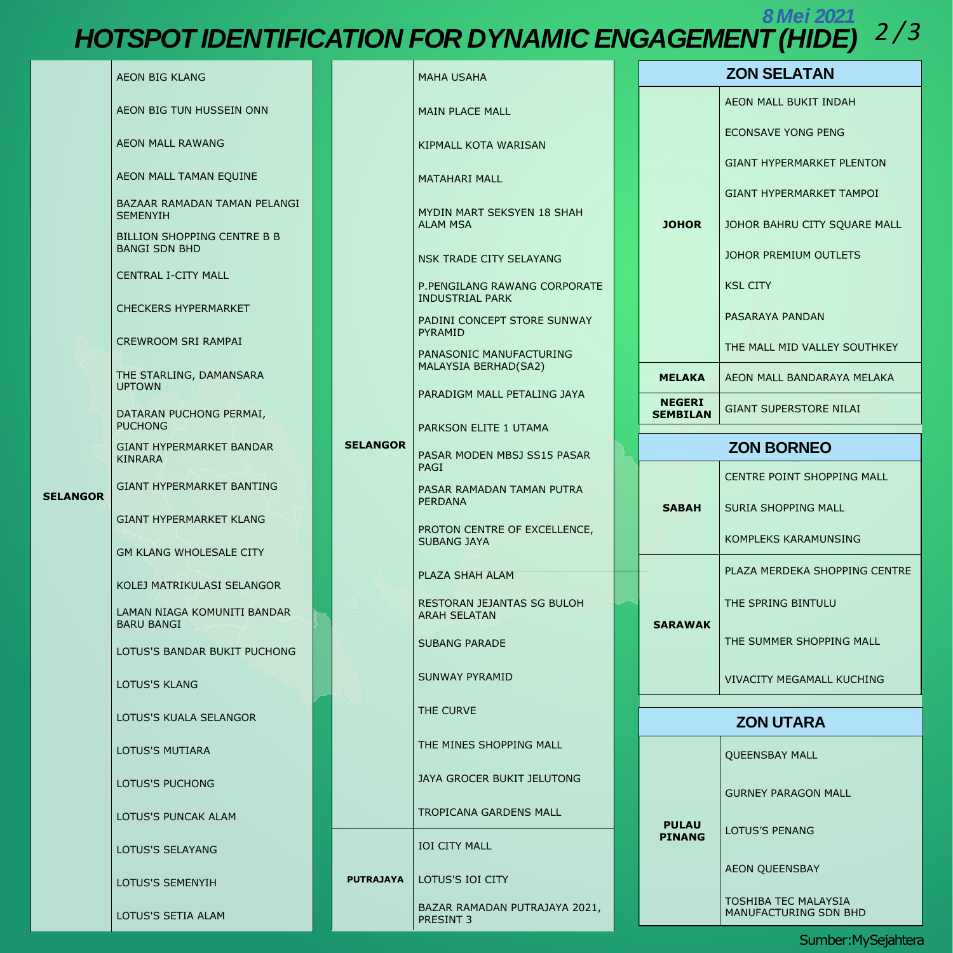## *HOTSPOT 2 /3 IDENTIFICATION FOR DYNAMIC ENGAGEMENT (HIDE) 8 Mei 2021*

Sumber:MySejahtera

|                 | <b>AEON BIG KLANG</b>                                                                                                                                                                                                                                                                                                                                                                                                                                                                                                    | <b>MAHA USAHA</b>                                                           |                                                        |               | <b>ZON SELATAN</b>               |                                                      |
|-----------------|--------------------------------------------------------------------------------------------------------------------------------------------------------------------------------------------------------------------------------------------------------------------------------------------------------------------------------------------------------------------------------------------------------------------------------------------------------------------------------------------------------------------------|-----------------------------------------------------------------------------|--------------------------------------------------------|---------------|----------------------------------|------------------------------------------------------|
|                 | AEON BIG TUN HUSSEIN ONN                                                                                                                                                                                                                                                                                                                                                                                                                                                                                                 |                                                                             | <b>MAIN PLACE MALL</b>                                 |               |                                  | AEON MALL BUKIT INDAH                                |
|                 | AEON MALL RAWANG<br>AEON MALL TAMAN EQUINE<br>BAZAAR RAMADAN TAMAN PELANGI<br><b>SEMENYIH</b><br>BILLION SHOPPING CENTRE B B<br><b>BANGI SDN BHD</b><br><b>CENTRAL I-CITY MALL</b><br><b>CHECKERS HYPERMARKET</b><br><b>CREWROOM SRI RAMPAI</b><br>THE STARLING, DAMANSARA<br><b>UPTOWN</b><br>DATARAN PUCHONG PERMAI,<br><b>PUCHONG</b><br><b>SELANGOR</b><br><b>GIANT HYPERMARKET BANDAR</b><br><b>KINRARA</b><br><b>GIANT HYPERMARKET BANTING</b><br><b>GIANT HYPERMARKET KLANG</b><br><b>GM KLANG WHOLESALE CITY</b> |                                                                             | KIPMALL KOTA WARISAN                                   |               |                                  | <b>ECONSAVE YONG PENG</b>                            |
|                 |                                                                                                                                                                                                                                                                                                                                                                                                                                                                                                                          | <b>MATAHARI MALL</b>                                                        |                                                        |               | <b>GIANT HYPERMARKET PLENTON</b> |                                                      |
|                 |                                                                                                                                                                                                                                                                                                                                                                                                                                                                                                                          | MYDIN MART SEKSYEN 18 SHAH                                                  |                                                        |               | <b>GIANT HYPERMARKET TAMPOI</b>  |                                                      |
|                 |                                                                                                                                                                                                                                                                                                                                                                                                                                                                                                                          | <b>ALAM MSA</b>                                                             |                                                        | <b>JOHOR</b>  | JOHOR BAHRU CITY SQUARE MALL     |                                                      |
|                 |                                                                                                                                                                                                                                                                                                                                                                                                                                                                                                                          |                                                                             | NSK TRADE CITY SELAYANG                                |               |                                  | <b>JOHOR PREMIUM OUTLETS</b>                         |
|                 |                                                                                                                                                                                                                                                                                                                                                                                                                                                                                                                          |                                                                             | P.PENGILANG RAWANG CORPORATE<br><b>INDUSTRIAL PARK</b> |               |                                  | <b>KSL CITY</b>                                      |
|                 |                                                                                                                                                                                                                                                                                                                                                                                                                                                                                                                          |                                                                             | PADINI CONCEPT STORE SUNWAY                            |               |                                  | PASARAYA PANDAN                                      |
|                 |                                                                                                                                                                                                                                                                                                                                                                                                                                                                                                                          | <b>PYRAMID</b><br>PANASONIC MANUFACTURING                                   |                                                        |               | THE MALL MID VALLEY SOUTHKEY     |                                                      |
|                 |                                                                                                                                                                                                                                                                                                                                                                                                                                                                                                                          | MALAYSIA BERHAD(SA2)                                                        |                                                        | <b>MELAKA</b> | AEON MALL BANDARAYA MELAKA       |                                                      |
|                 |                                                                                                                                                                                                                                                                                                                                                                                                                                                                                                                          |                                                                             | PARADIGM MALL PETALING JAYA                            |               | <b>NEGERI</b><br><b>SEMBILAN</b> | <b>GIANT SUPERSTORE NILAI</b>                        |
|                 |                                                                                                                                                                                                                                                                                                                                                                                                                                                                                                                          |                                                                             | PARKSON ELITE 1 UTAMA                                  |               | <b>ZON BORNEO</b>                |                                                      |
|                 |                                                                                                                                                                                                                                                                                                                                                                                                                                                                                                                          |                                                                             | PASAR MODEN MBSJ SS15 PASAR<br><b>PAGI</b>             |               |                                  | <b>CENTRE POINT SHOPPING MALL</b>                    |
| <b>SELANGOR</b> |                                                                                                                                                                                                                                                                                                                                                                                                                                                                                                                          | PASAR RAMADAN TAMAN PUTRA<br><b>PERDANA</b><br>PROTON CENTRE OF EXCELLENCE, |                                                        |               |                                  |                                                      |
|                 |                                                                                                                                                                                                                                                                                                                                                                                                                                                                                                                          |                                                                             |                                                        | <b>SABAH</b>  | <b>SURIA SHOPPING MALL</b>       |                                                      |
|                 |                                                                                                                                                                                                                                                                                                                                                                                                                                                                                                                          |                                                                             | <b>SUBANG JAYA</b>                                     |               |                                  | KOMPLEKS KARAMUNSING                                 |
|                 | KOLEJ MATRIKULASI SELANGOR                                                                                                                                                                                                                                                                                                                                                                                                                                                                                               |                                                                             | PLAZA SHAH ALAM                                        |               | <b>SARAWAK</b>                   | PLAZA MERDEKA SHOPPING CENTRE                        |
|                 | LAMAN NIAGA KOMUNITI BANDAR<br><b>BARU BANGI</b>                                                                                                                                                                                                                                                                                                                                                                                                                                                                         |                                                                             | RESTORAN JEJANTAS SG BULOH<br><b>ARAH SELATAN</b>      |               |                                  | THE SPRING BINTULU                                   |
|                 | LOTUS'S BANDAR BUKIT PUCHONG                                                                                                                                                                                                                                                                                                                                                                                                                                                                                             |                                                                             | <b>SUBANG PARADE</b>                                   |               |                                  | THE SUMMER SHOPPING MALL                             |
|                 | <b>LOTUS'S KLANG</b>                                                                                                                                                                                                                                                                                                                                                                                                                                                                                                     |                                                                             | <b>SUNWAY PYRAMID</b>                                  |               |                                  | <b>VIVACITY MEGAMALL KUCHING</b>                     |
|                 | LOTUS'S KUALA SELANGOR                                                                                                                                                                                                                                                                                                                                                                                                                                                                                                   |                                                                             | THE CURVE                                              |               | <b>ZON UTARA</b>                 |                                                      |
|                 | <b>LOTUS'S MUTIARA</b>                                                                                                                                                                                                                                                                                                                                                                                                                                                                                                   |                                                                             | THE MINES SHOPPING MALL                                |               |                                  | <b>QUEENSBAY MALL</b>                                |
|                 | LOTUS'S PUCHONG<br>LOTUS'S PUNCAK ALAM                                                                                                                                                                                                                                                                                                                                                                                                                                                                                   | JAYA GROCER BUKIT JELUTONG                                                  |                                                        |               | <b>GURNEY PARAGON MALL</b>       |                                                      |
|                 |                                                                                                                                                                                                                                                                                                                                                                                                                                                                                                                          | <b>TROPICANA GARDENS MALL</b>                                               |                                                        | <b>PULAU</b>  | <b>LOTUS'S PENANG</b>            |                                                      |
|                 | LOTUS'S SELAYANG                                                                                                                                                                                                                                                                                                                                                                                                                                                                                                         |                                                                             | <b>IOI CITY MALL</b>                                   |               | <b>PINANG</b>                    |                                                      |
|                 | <b>LOTUS'S SEMENYIH</b>                                                                                                                                                                                                                                                                                                                                                                                                                                                                                                  | <b>PUTRAJAYA</b>                                                            | LOTUS'S IOI CITY                                       |               |                                  | <b>AEON QUEENSBAY</b>                                |
|                 | LOTUS'S SETIA ALAM                                                                                                                                                                                                                                                                                                                                                                                                                                                                                                       |                                                                             | BAZAR RAMADAN PUTRAJAYA 2021,<br><b>PRESINT 3</b>      |               |                                  | <b>TOSHIBA TEC MALAYSIA</b><br>MANUFACTURING SDN BHD |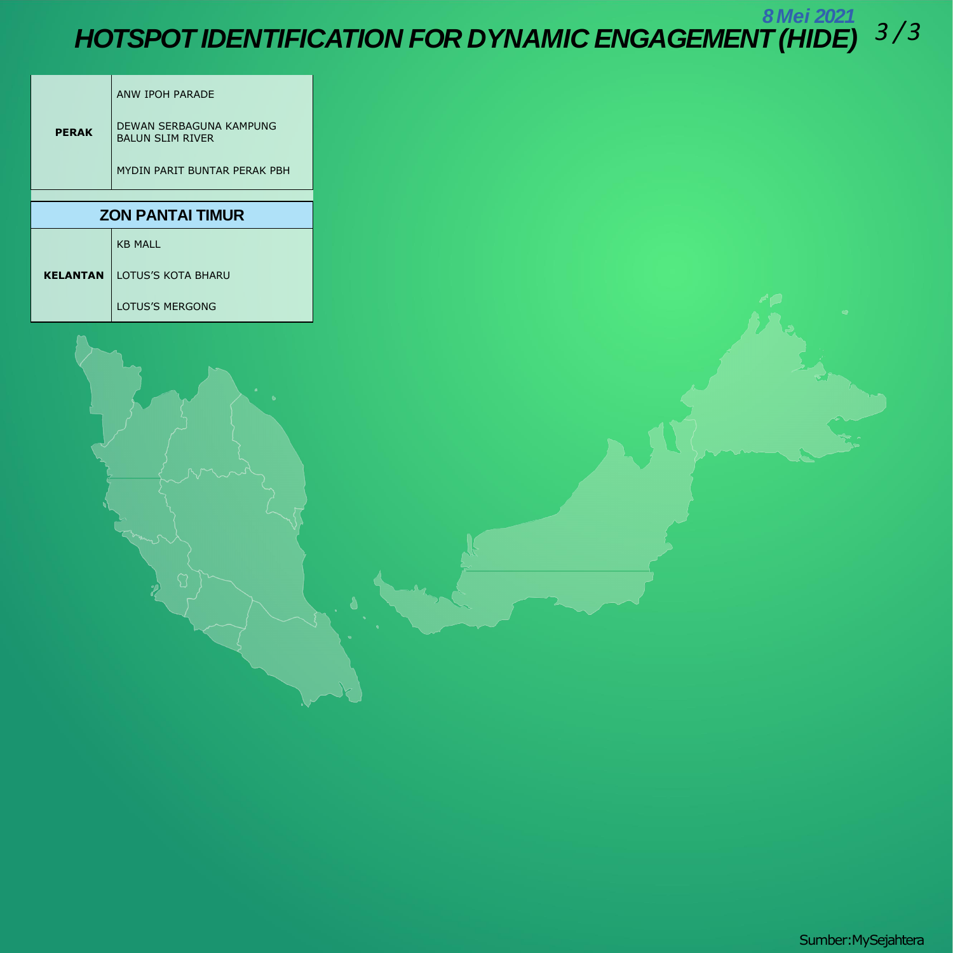B Mei 2021<br>HOTSPOT IDENTIFICATION FOR DYNAMIC ENGAGEMENT (HIDE) 3/3

|                 | <b>ANW IPOH PARADE</b>                             |
|-----------------|----------------------------------------------------|
| <b>PERAK</b>    | DEWAN SERBAGUNA KAMPUNG<br><b>BALUN SLIM RIVER</b> |
|                 | MYDIN PARIT BUNTAR PERAK PBH                       |
|                 |                                                    |
|                 |                                                    |
|                 | <b>ZON PANTAI TIMUR</b>                            |
|                 | <b>KB MALL</b>                                     |
| <b>KELANTAN</b> | <b>LOTUS'S KOTA BHARU</b>                          |



Sumber: My Sejahtera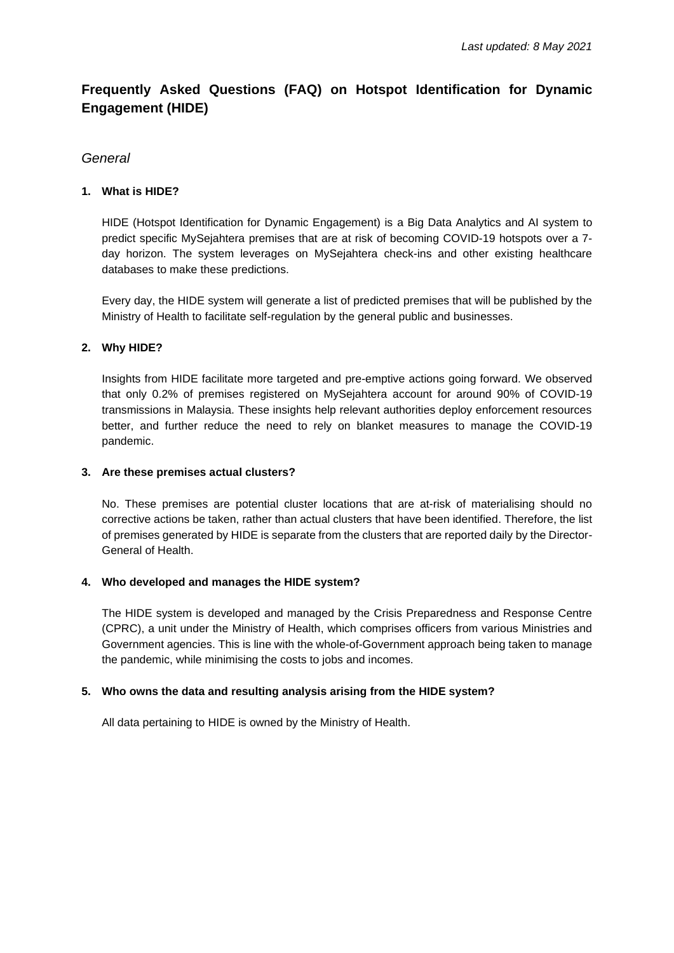#### **Frequently Asked Questions (FAQ) on Hotspot Identification for Dynamic Engagement (HIDE)**

#### *General*

#### **1. What is HIDE?**

HIDE (Hotspot Identification for Dynamic Engagement) is a Big Data Analytics and AI system to predict specific MySejahtera premises that are at risk of becoming COVID-19 hotspots over a 7 day horizon. The system leverages on MySejahtera check-ins and other existing healthcare databases to make these predictions.

Every day, the HIDE system will generate a list of predicted premises that will be published by the Ministry of Health to facilitate self-regulation by the general public and businesses.

#### **2. Why HIDE?**

Insights from HIDE facilitate more targeted and pre-emptive actions going forward. We observed that only 0.2% of premises registered on MySejahtera account for around 90% of COVID-19 transmissions in Malaysia. These insights help relevant authorities deploy enforcement resources better, and further reduce the need to rely on blanket measures to manage the COVID-19 pandemic.

#### **3. Are these premises actual clusters?**

No. These premises are potential cluster locations that are at-risk of materialising should no corrective actions be taken, rather than actual clusters that have been identified. Therefore, the list of premises generated by HIDE is separate from the clusters that are reported daily by the Director-General of Health.

#### **4. Who developed and manages the HIDE system?**

The HIDE system is developed and managed by the Crisis Preparedness and Response Centre (CPRC), a unit under the Ministry of Health, which comprises officers from various Ministries and Government agencies. This is line with the whole-of-Government approach being taken to manage the pandemic, while minimising the costs to jobs and incomes.

#### **5. Who owns the data and resulting analysis arising from the HIDE system?**

All data pertaining to HIDE is owned by the Ministry of Health.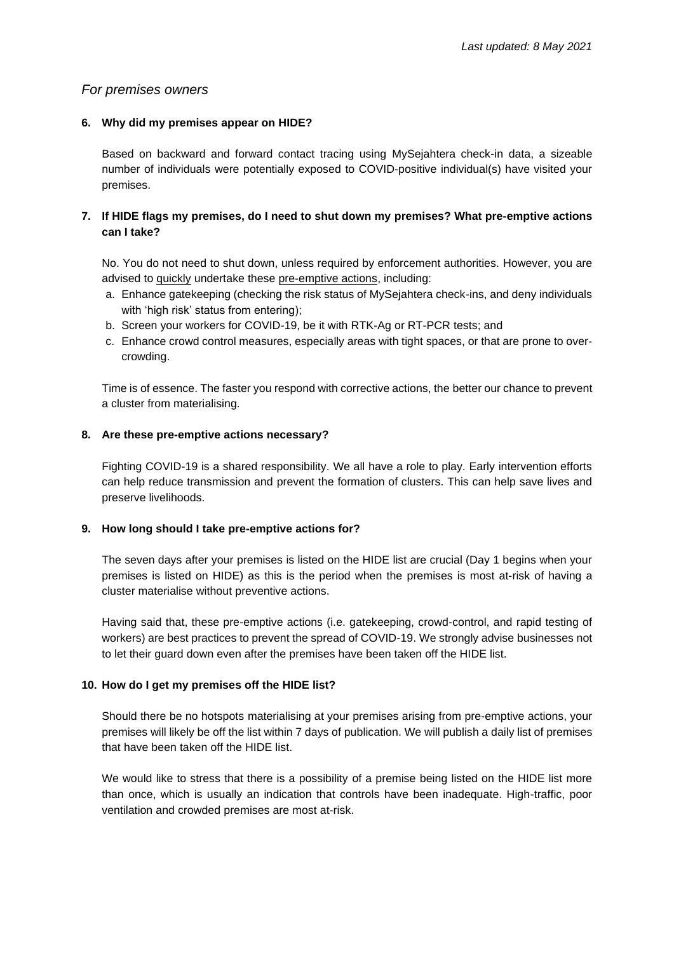#### *For premises owners*

#### **6. Why did my premises appear on HIDE?**

Based on backward and forward contact tracing using MySejahtera check-in data, a sizeable number of individuals were potentially exposed to COVID-positive individual(s) have visited your premises.

#### **7. If HIDE flags my premises, do I need to shut down my premises? What pre-emptive actions can I take?**

No. You do not need to shut down, unless required by enforcement authorities. However, you are advised to quickly undertake these pre-emptive actions, including:

- a. Enhance gatekeeping (checking the risk status of MySejahtera check-ins, and deny individuals with 'high risk' status from entering);
- b. Screen your workers for COVID-19, be it with RTK-Ag or RT-PCR tests; and
- c. Enhance crowd control measures, especially areas with tight spaces, or that are prone to overcrowding.

Time is of essence. The faster you respond with corrective actions, the better our chance to prevent a cluster from materialising.

#### **8. Are these pre-emptive actions necessary?**

Fighting COVID-19 is a shared responsibility. We all have a role to play. Early intervention efforts can help reduce transmission and prevent the formation of clusters. This can help save lives and preserve livelihoods.

#### **9. How long should I take pre-emptive actions for?**

The seven days after your premises is listed on the HIDE list are crucial (Day 1 begins when your premises is listed on HIDE) as this is the period when the premises is most at-risk of having a cluster materialise without preventive actions.

Having said that, these pre-emptive actions (i.e. gatekeeping, crowd-control, and rapid testing of workers) are best practices to prevent the spread of COVID-19. We strongly advise businesses not to let their guard down even after the premises have been taken off the HIDE list.

#### **10. How do I get my premises off the HIDE list?**

Should there be no hotspots materialising at your premises arising from pre-emptive actions, your premises will likely be off the list within 7 days of publication. We will publish a daily list of premises that have been taken off the HIDE list.

We would like to stress that there is a possibility of a premise being listed on the HIDE list more than once, which is usually an indication that controls have been inadequate. High-traffic, poor ventilation and crowded premises are most at-risk.